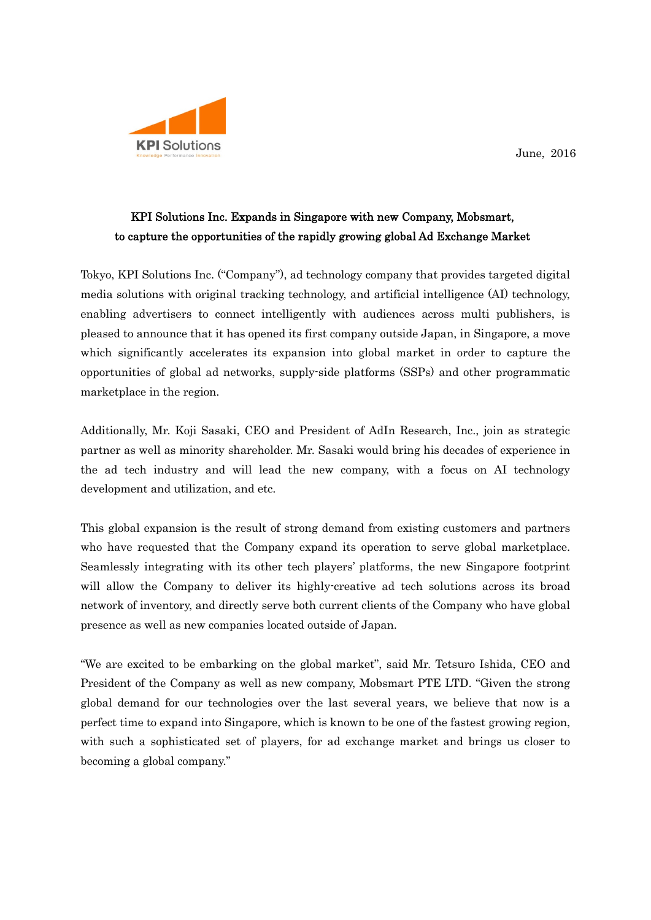

## KPI Solutions Inc. Expands in Singapore with new Company, Mobsmart, to capture the opportunities of the rapidly growing global Ad Exchange Market

Tokyo, KPI Solutions Inc. ("Company"), ad technology company that provides targeted digital media solutions with original tracking technology, and artificial intelligence (AI) technology, enabling advertisers to connect intelligently with audiences across multi publishers, is pleased to announce that it has opened its first company outside Japan, in Singapore, a move which significantly accelerates its expansion into global market in order to capture the opportunities of global ad networks, supply-side platforms (SSPs) and other programmatic marketplace in the region.

Additionally, Mr. Koji Sasaki, CEO and President of AdIn Research, Inc., join as strategic partner as well as minority shareholder. Mr. Sasaki would bring his decades of experience in the ad tech industry and will lead the new company, with a focus on AI technology development and utilization, and etc.

This global expansion is the result of strong demand from existing customers and partners who have requested that the Company expand its operation to serve global marketplace. Seamlessly integrating with its other tech players' platforms, the new Singapore footprint will allow the Company to deliver its highly-creative ad tech solutions across its broad network of inventory, and directly serve both current clients of the Company who have global presence as well as new companies located outside of Japan.

"We are excited to be embarking on the global market", said Mr. Tetsuro Ishida, CEO and President of the Company as well as new company, Mobsmart PTE LTD. "Given the strong global demand for our technologies over the last several years, we believe that now is a perfect time to expand into Singapore, which is known to be one of the fastest growing region, with such a sophisticated set of players, for ad exchange market and brings us closer to becoming a global company."